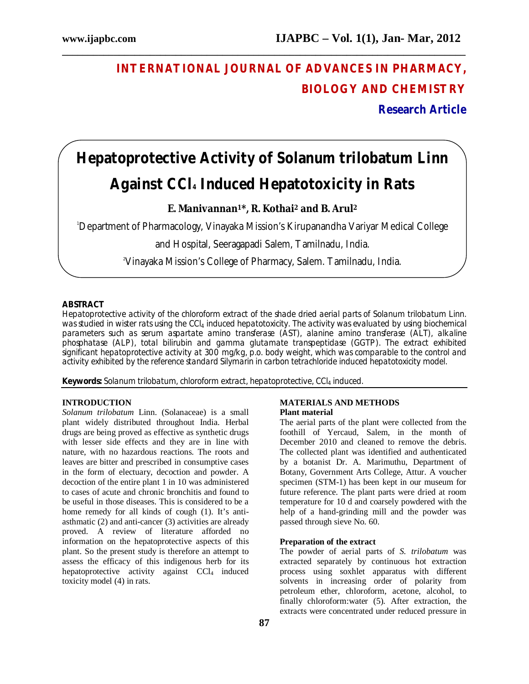# **INTERNATIONAL JOURNAL OF ADVANCES IN PHARMACY, BIOLOGY AND CHEMISTRY**

**Research Article**

# **Hepatoprotective Activity of** *Solanum trilobatum* **Linn Against CCl<sup>4</sup> Induced Hepatotoxicity in Rats**

**\_\_\_\_\_\_\_\_\_\_\_\_\_\_\_\_\_\_\_\_\_\_\_\_\_\_\_\_\_\_\_\_\_\_\_\_\_\_\_\_\_\_\_\_\_\_\_\_\_\_\_\_\_\_\_\_\_\_\_\_\_\_\_\_\_\_\_\_\_\_\_\_\_\_\_\_\_\_**

**E. Manivannan1\*, R. Kothai<sup>2</sup> and B. Arul<sup>2</sup>**

<sup>1</sup>Department of Pharmacology, Vinayaka Mission's Kirupanandha Variyar Medical College

and Hospital, Seeragapadi Salem, Tamilnadu, India.

2Vinayaka Mission's College of Pharmacy, Salem. Tamilnadu, India.

# **ABSTRACT**

Hepatoprotective activity of the chloroform extract of the shade dried aerial parts of *Solanum trilobatum* Linn. was studied in wister rats using the CCI<sub>4</sub> induced hepatotoxicity. The activity was evaluated by using biochemical parameters such as serum aspartate amino transferase (AST), alanine amino transferase (ALT), alkaline phosphatase (ALP), total bilirubin and gamma glutamate transpeptidase (GGTP). The extract exhibited significant hepatoprotective activity at 300 mg/kg, p.o. body weight, which was comparable to the control and activity exhibited by the reference standard Silymarin in carbon tetrachloride induced hepatotoxicity model.

**Keywords:** *Solanum trilobatum*, chloroform extract, hepatoprotective, CCl<sup>4</sup> induced.

# **INTRODUCTION**

*Solanum trilobatum* Linn. (Solanaceae) is a small plant widely distributed throughout India. Herbal drugs are being proved as effective as synthetic drugs with lesser side effects and they are in line with nature, with no hazardous reactions. The roots and leaves are bitter and prescribed in consumptive cases in the form of electuary, decoction and powder. A decoction of the entire plant 1 in 10 was administered to cases of acute and chronic bronchitis and found to be useful in those diseases. This is considered to be a home remedy for all kinds of cough (1). It's antiasthmatic (2) and anti-cancer (3) activities are already proved. A review of literature afforded no information on the hepatoprotective aspects of this plant. So the present study is therefore an attempt to assess the efficacy of this indigenous herb for its hepatoprotective activity against  $\text{CCl}_4$  induced toxicity model (4) in rats.

#### **MATERIALS AND METHODS Plant material**

The aerial parts of the plant were collected from the foothill of Yercaud, Salem, in the month of December 2010 and cleaned to remove the debris. The collected plant was identified and authenticated by a botanist Dr. A. Marimuthu, Department of Botany, Government Arts College, Attur. A voucher specimen (STM-1) has been kept in our museum for future reference. The plant parts were dried at room temperature for 10 d and coarsely powdered with the help of a hand-grinding mill and the powder was passed through sieve No. 60.

#### **Preparation of the extract**

The powder of aerial parts of *S. trilobatum* was extracted separately by continuous hot extraction process using soxhlet apparatus with different solvents in increasing order of polarity from petroleum ether, chloroform, acetone, alcohol, to finally chloroform:water (5). After extraction, the extracts were concentrated under reduced pressure in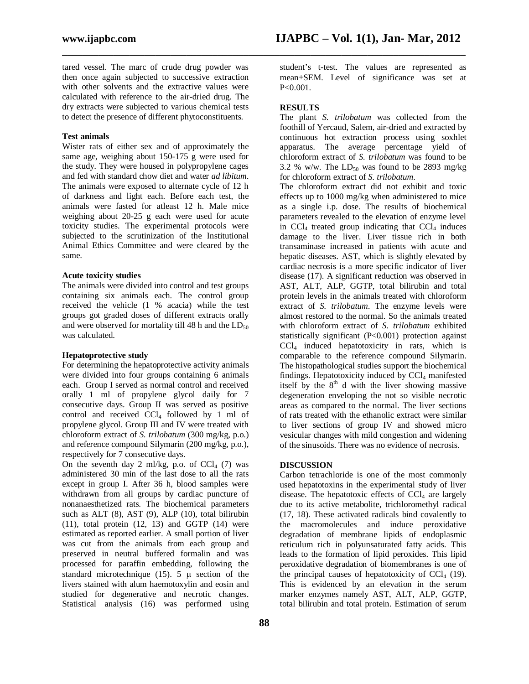tared vessel. The marc of crude drug powder was then once again subjected to successive extraction with other solvents and the extractive values were calculated with reference to the air-dried drug. The dry extracts were subjected to various chemical tests to detect the presence of different phytoconstituents.

#### **Test animals**

Wister rats of either sex and of approximately the same age, weighing about 150-175 g were used for the study. They were housed in polypropylene cages and fed with standard chow diet and water *ad libitum*. The animals were exposed to alternate cycle of 12 h of darkness and light each. Before each test, the animals were fasted for atleast 12 h. Male mice weighing about 20-25 g each were used for acute toxicity studies. The experimental protocols were subjected to the scrutinization of the Institutional Animal Ethics Committee and were cleared by the same.

## **Acute toxicity studies**

The animals were divided into control and test groups containing six animals each. The control group received the vehicle (1 % acacia) while the test groups got graded doses of different extracts orally and were observed for mortality till 48 h and the  $LD_{50}$ was calculated.

## **Hepatoprotective study**

For determining the hepatoprotective activity animals were divided into four groups containing 6 animals each. Group I served as normal control and received orally 1 ml of propylene glycol daily for 7 consecutive days. Group II was served as positive control and received  $\overline{CCl_4}$  followed by 1 ml of propylene glycol. Group III and IV were treated with chloroform extract of *S. trilobatum* (300 mg/kg, p.o.) and reference compound Silymarin (200 mg/kg, p.o.), respectively for 7 consecutive days.

On the seventh day 2 ml/kg, p.o. of  $CCl<sub>4</sub>$  (7) was administered 30 min of the last dose to all the rats except in group I. After 36 h, blood samples were withdrawn from all groups by cardiac puncture of nonanaesthetized rats. The biochemical parameters such as ALT (8), AST (9), ALP (10), total bilirubin  $(11)$ , total protein  $(12, 13)$  and GGTP  $(14)$  were estimated as reported earlier. A small portion of liver was cut from the animals from each group and preserved in neutral buffered formalin and was processed for paraffin embedding, following the standard microtechnique (15). 5  $\mu$  section of the livers stained with alum haemotoxylin and eosin and studied for degenerative and necrotic changes. Statistical analysis (16) was performed using

student's t-test. The values are represented as mean SEM. Level of significance was set at P<0.001.

#### **RESULTS**

**\_\_\_\_\_\_\_\_\_\_\_\_\_\_\_\_\_\_\_\_\_\_\_\_\_\_\_\_\_\_\_\_\_\_\_\_\_\_\_\_\_\_\_\_\_\_\_\_\_\_\_\_\_\_\_\_\_\_\_\_\_\_\_\_\_\_\_\_\_\_\_\_\_\_\_\_\_\_**

The plant *S. trilobatum* was collected from the foothill of Yercaud, Salem, air-dried and extracted by continuous hot extraction process using soxhlet apparatus. The average percentage yield of chloroform extract of *S. trilobatum* was found to be 3.2 % w/w. The  $LD_{50}$  was found to be 2893 mg/kg for chloroform extract of *S. trilobatum*.

The chloroform extract did not exhibit and toxic effects up to 1000 mg/kg when administered to mice as a single i.p. dose. The results of biochemical parameters revealed to the elevation of enzyme level in  $CCl_4$  treated group indicating that  $CCl_4$  induces damage to the liver. Liver tissue rich in both transaminase increased in patients with acute and hepatic diseases. AST, which is slightly elevated by cardiac necrosis is a more specific indicator of liver disease (17). A significant reduction was observed in AST, ALT, ALP, GGTP, total bilirubin and total protein levels in the animals treated with chloroform extract of *S. trilobatum*. The enzyme levels were almost restored to the normal. So the animals treated with chloroform extract of *S. trilobatum* exhibited statistically significant (P<0.001) protection against CCl<sup>4</sup> induced hepatotoxicity in rats, which is comparable to the reference compound Silymarin. The histopathological studies support the biochemical findings. Hepatotoxicity induced by  $CCl<sub>4</sub>$  manifested itself by the  $8<sup>th</sup>$  d with the liver showing massive degeneration enveloping the not so visible necrotic areas as compared to the normal. The liver sections of rats treated with the ethanolic extract were similar to liver sections of group IV and showed micro vesicular changes with mild congestion and widening of the sinusoids. There was no evidence of necrosis.

#### **DISCUSSION**

Carbon tetrachloride is one of the most commonly used hepatotoxins in the experimental study of liver disease. The hepatotoxic effects of  $\text{CC}l_4$  are largely due to its active metabolite, trichloromethyl radical (17, 18). These activated radicals bind covalently to the macromolecules and induce peroxidative degradation of membrane lipids of endoplasmic reticulum rich in polyunsaturated fatty acids. This leads to the formation of lipid peroxides. This lipid peroxidative degradation of biomembranes is one of the principal causes of hepatotoxicity of  $CCl<sub>4</sub>$  (19). This is evidenced by an elevation in the serum marker enzymes namely AST, ALT, ALP, GGTP, total bilirubin and total protein. Estimation of serum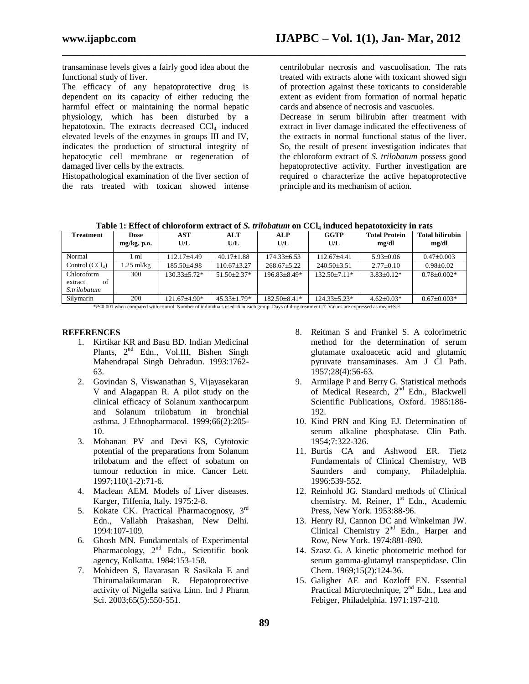transaminase levels gives a fairly good idea about the functional study of liver.

The efficacy of any hepatoprotective drug is dependent on its capacity of either reducing the harmful effect or maintaining the normal hepatic physiology, which has been disturbed by a hepatotoxin. The extracts decreased  $CCl<sub>4</sub>$  induced elevated levels of the enzymes in groups III and IV, indicates the production of structural integrity of hepatocytic cell membrane or regeneration of damaged liver cells by the extracts.

Histopathological examination of the liver section of the rats treated with toxican showed intense centrilobular necrosis and vascuolisation. The rats treated with extracts alone with toxicant showed sign of protection against these toxicants to considerable extent as evident from formation of normal hepatic cards and absence of necrosis and vascuoles.

Decrease in serum bilirubin after treatment with extract in liver damage indicated the effectiveness of the extracts in normal functional status of the liver. So, the result of present investigation indicates that the chloroform extract of *S. trilobatum* possess good hepatoprotective activity. Further investigation are required o characterize the active hepatoprotective principle and its mechanism of action.

| Table 1: Effect of chloroform extract of S. trilobatum on CCl <sub>4</sub> induced hepatotoxicity in rats |  |
|-----------------------------------------------------------------------------------------------------------|--|
|-----------------------------------------------------------------------------------------------------------|--|

**\_\_\_\_\_\_\_\_\_\_\_\_\_\_\_\_\_\_\_\_\_\_\_\_\_\_\_\_\_\_\_\_\_\_\_\_\_\_\_\_\_\_\_\_\_\_\_\_\_\_\_\_\_\_\_\_\_\_\_\_\_\_\_\_\_\_\_\_\_\_\_\_\_\_\_\_\_\_**

| <b>Treatment</b> | Dose           | AST              | <b>ALT</b>        | <b>ALP</b>       | GGTP             | <b>Total Protein</b> | <b>Total bilirubin</b> |
|------------------|----------------|------------------|-------------------|------------------|------------------|----------------------|------------------------|
|                  | $mg/kg$ , p.o. | U/L              | U/L               | U/L              | U/L              | mg/dl                | mg/dl                  |
| Normal           | ml             | 112.17+4.49      | $40.17 \pm 1.88$  | $174.33\pm 6.53$ | $112.67 + 4.41$  | $5.93+0.06$          | $0.47 \pm 0.003$       |
| Control $(CCl4)$ | 1.25 ml/kg     | 185.50±4.98      | $110.67 \pm 3.27$ | 268.67±5.22      | 240.50±3.51      | $2.77 \pm 0.10$      | $0.98 + 0.02$          |
| Chloroform       | 300            | $130.33 + 5.72*$ | $51.50 + 2.37*$   | 196.83+8.49*     | $132.50 + 7.11*$ | $3.83+0.12*$         | $0.78 + 0.002*$        |
| of<br>extract    |                |                  |                   |                  |                  |                      |                        |
| S.trilobatum     |                |                  |                   |                  |                  |                      |                        |
| Silvmarin        | 200            | $121.67\pm4.90*$ | $45.33 \pm 1.79*$ | $182.50 + 8.41*$ | $124.33 + 5.23*$ | $4.62 + 0.03*$       | $0.67+0.003*$          |

\**P*<0.001 when compared with control. Number of individuals used=6 in each group. Days of drug treatment=7. Values are expressed as meanS.E.

#### **REFERENCES**

- 1. Kirtikar KR and Basu BD. Indian Medicinal Plants, 2<sup>nd</sup> Edn., Vol.III, Bishen Singh Mahendrapal Singh Dehradun. 1993:1762- 63.
- 2. Govindan S, Viswanathan S, Vijayasekaran V and Alagappan R. A pilot study on the clinical efficacy of Solanum xanthocarpum and Solanum trilobatum in bronchial asthma. J Ethnopharmacol. 1999;66(2):205- 10.
- 3. Mohanan PV and Devi KS, Cytotoxic potential of the preparations from Solanum trilobatum and the effect of sobatum on tumour reduction in mice. Cancer Lett. 1997;110(1-2):71-6.
- 4. Maclean AEM. Models of Liver diseases. Karger, Tiffenia, Italy. 1975:2-8.
- 5. Kokate CK. Practical Pharmacognosy, 3rd Edn., Vallabh Prakashan, New Delhi. 1994:107-109.
- 6. Ghosh MN. Fundamentals of Experimental Pharmacology, 2<sup>nd</sup> Edn., Scientific book agency, Kolkatta. 1984:153-158.
- 7. Mohideen S, Ilavarasan R Sasikala E and Thirumalaikumaran R. Hepatoprotective activity of Nigella sativa Linn. Ind J Pharm Sci. 2003;65(5):550-551.
- 8. Reitman S and Frankel S. A colorimetric method for the determination of serum glutamate oxaloacetic acid and glutamic pyruvate transaminases. Am J Cl Path. 1957;28(4):56-63.
- 9. Armilage P and Berry G. Statistical methods of Medical Research, 2<sup>nd</sup> Edn., Blackwell Scientific Publications, Oxford. 1985:186- 192.
- 10. Kind PRN and King EJ. Determination of serum alkaline phosphatase. Clin Path. 1954;7:322-326.
- 11. Burtis CA and Ashwood ER. Tietz Fundamentals of Clinical Chemistry, WB Saunders and company, Philadelphia. 1996:539-552.
- 12. Reinhold JG. Standard methods of Clinical chemistry. M. Reiner, 1<sup>st</sup> Edn., Academic Press, New York. 1953:88-96.
- 13. Henry RJ, Cannon DC and Winkelman JW. Clinical Chemistry 2<sup>nd</sup> Edn., Harper and Row, New York. 1974:881-890.
- 14. Szasz G. A kinetic photometric method for serum gamma-glutamyl transpeptidase. Clin Chem. 1969;15(2):124-36.
- 15. Galigher AE and Kozloff EN. Essential Practical Microtechnique, 2<sup>nd</sup> Edn., Lea and Febiger, Philadelphia. 1971:197-210.